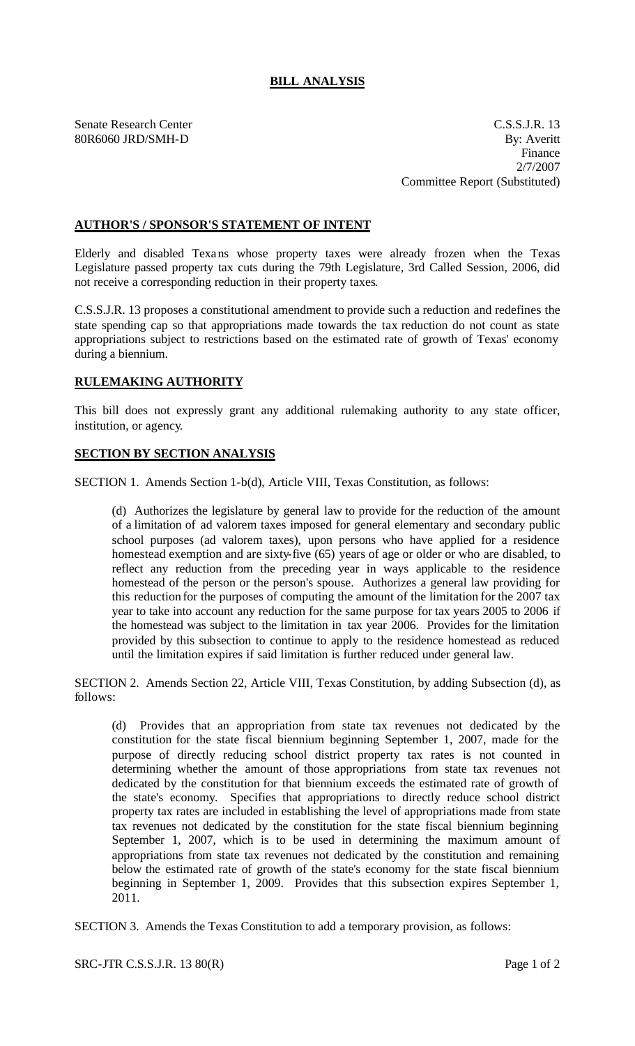## **BILL ANALYSIS**

Senate Research Center C.S.S.J.R. 13 80R6060 JRD/SMH-D By: Averitt Finance 2/7/2007 Committee Report (Substituted)

## **AUTHOR'S / SPONSOR'S STATEMENT OF INTENT**

Elderly and disabled Texans whose property taxes were already frozen when the Texas Legislature passed property tax cuts during the 79th Legislature, 3rd Called Session, 2006, did not receive a corresponding reduction in their property taxes.

C.S.S.J.R. 13 proposes a constitutional amendment to provide such a reduction and redefines the state spending cap so that appropriations made towards the tax reduction do not count as state appropriations subject to restrictions based on the estimated rate of growth of Texas' economy during a biennium.

## **RULEMAKING AUTHORITY**

This bill does not expressly grant any additional rulemaking authority to any state officer, institution, or agency.

## **SECTION BY SECTION ANALYSIS**

SECTION 1. Amends Section 1-b(d), Article VIII, Texas Constitution, as follows:

(d) Authorizes the legislature by general law to provide for the reduction of the amount of a limitation of ad valorem taxes imposed for general elementary and secondary public school purposes (ad valorem taxes), upon persons who have applied for a residence homestead exemption and are sixty-five (65) years of age or older or who are disabled, to reflect any reduction from the preceding year in ways applicable to the residence homestead of the person or the person's spouse. Authorizes a general law providing for this reduction for the purposes of computing the amount of the limitation for the 2007 tax year to take into account any reduction for the same purpose for tax years 2005 to 2006 if the homestead was subject to the limitation in tax year 2006. Provides for the limitation provided by this subsection to continue to apply to the residence homestead as reduced until the limitation expires if said limitation is further reduced under general law.

SECTION 2. Amends Section 22, Article VIII, Texas Constitution, by adding Subsection (d), as follows:

(d) Provides that an appropriation from state tax revenues not dedicated by the constitution for the state fiscal biennium beginning September 1, 2007, made for the purpose of directly reducing school district property tax rates is not counted in determining whether the amount of those appropriations from state tax revenues not dedicated by the constitution for that biennium exceeds the estimated rate of growth of the state's economy. Specifies that appropriations to directly reduce school district property tax rates are included in establishing the level of appropriations made from state tax revenues not dedicated by the constitution for the state fiscal biennium beginning September 1, 2007, which is to be used in determining the maximum amount of appropriations from state tax revenues not dedicated by the constitution and remaining below the estimated rate of growth of the state's economy for the state fiscal biennium beginning in September 1, 2009. Provides that this subsection expires September 1, 2011.

SECTION 3. Amends the Texas Constitution to add a temporary provision, as follows: